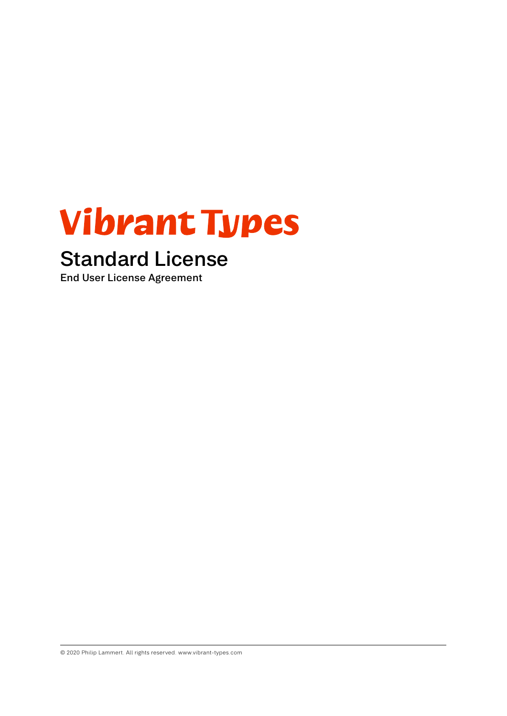# **Vibrant Types**

## Standard License

End User License Agreement

© 2020 Philip Lammert. All rights reserved. www.vibrant-types.com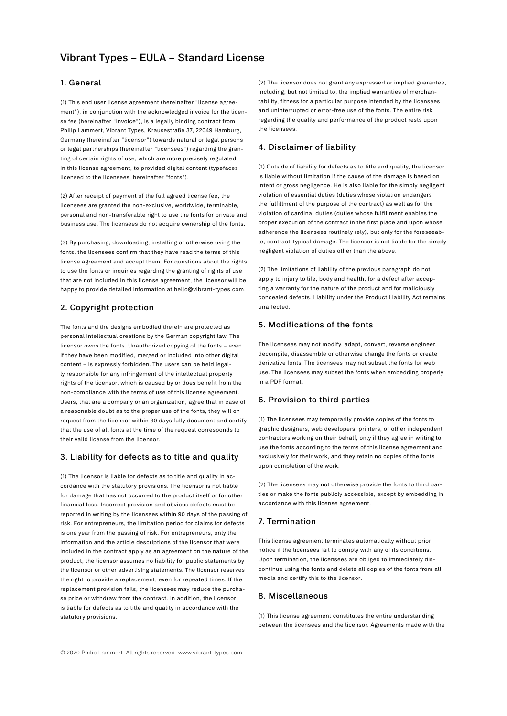### Vibrant Types – EULA – Standard License

#### 1. General

(1) This end user license agreement (hereinafter "license agreement"), in conjunction with the acknowledged invoice for the license fee (hereinafter "invoice"), is a legally binding contract from Philip Lammert, Vibrant Types, Krausestraße 37, 22049 Hamburg, Germany (hereinafter "licensor") towards natural or legal persons or legal partnerships (hereinafter "licensees") regarding the granting of certain rights of use, which are more precisely regulated in this license agreement, to provided digital content (typefaces licensed to the licensees, hereinafter "fonts").

(2) After receipt of payment of the full agreed license fee, the licensees are granted the non-exclusive, worldwide, terminable, personal and non-transferable right to use the fonts for private and business use. The licensees do not acquire ownership of the fonts.

(3) By purchasing, downloading, installing or otherwise using the fonts, the licensees confirm that they have read the terms of this license agreement and accept them. For questions about the rights to use the fonts or inquiries regarding the granting of rights of use that are not included in this license agreement, the licensor will be happy to provide detailed information at hello@vibrant-types.com.

#### 2. Copyright protection

The fonts and the designs embodied therein are protected as personal intellectual creations by the German copyright law. The licensor owns the fonts. Unauthorized copying of the fonts – even if they have been modified, merged or included into other digital content – is expressly forbidden. The users can be held legally responsible for any infringement of the intellectual property rights of the licensor, which is caused by or does benefit from the non-compliance with the terms of use of this license agreement. Users, that are a company or an organization, agree that in case of a reasonable doubt as to the proper use of the fonts, they will on request from the licensor within 30 days fully document and certify that the use of all fonts at the time of the request corresponds to their valid license from the licensor.

#### 3. Liability for defects as to title and quality

(1) The licensor is liable for defects as to title and quality in accordance with the statutory provisions. The licensor is not liable for damage that has not occurred to the product itself or for other financial loss. Incorrect provision and obvious defects must be reported in writing by the licensees within 90 days of the passing of risk. For entrepreneurs, the limitation period for claims for defects is one year from the passing of risk. For entrepreneurs, only the information and the article descriptions of the licensor that were included in the contract apply as an agreement on the nature of the product; the licensor assumes no liability for public statements by the licensor or other advertising statements. The licensor reserves the right to provide a replacement, even for repeated times. If the replacement provision fails, the licensees may reduce the purchase price or withdraw from the contract. In addition, the licensor is liable for defects as to title and quality in accordance with the statutory provisions.

(2) The licensor does not grant any expressed or implied guarantee, including, but not limited to, the implied warranties of merchantability, fitness for a particular purpose intended by the licensees and uninterrupted or error-free use of the fonts. The entire risk regarding the quality and performance of the product rests upon the licensees.

#### 4. Disclaimer of liability

(1) Outside of liability for defects as to title and quality, the licensor is liable without limitation if the cause of the damage is based on intent or gross negligence. He is also liable for the simply negligent violation of essential duties (duties whose violation endangers the fulfillment of the purpose of the contract) as well as for the violation of cardinal duties (duties whose fulfillment enables the proper execution of the contract in the first place and upon whose adherence the licensees routinely rely), but only for the foreseeable, contract-typical damage. The licensor is not liable for the simply negligent violation of duties other than the above.

(2) The limitations of liability of the previous paragraph do not apply to injury to life, body and health, for a defect after accepting a warranty for the nature of the product and for maliciously concealed defects. Liability under the Product Liability Act remains unaffected.

#### 5. Modifications of the fonts

The licensees may not modify, adapt, convert, reverse engineer, decompile, disassemble or otherwise change the fonts or create derivative fonts. The licensees may not subset the fonts for web use. The licensees may subset the fonts when embedding properly in a PDF format.

#### 6. Provision to third parties

(1) The licensees may temporarily provide copies of the fonts to graphic designers, web developers, printers, or other independent contractors working on their behalf, only if they agree in writing to use the fonts according to the terms of this license agreement and exclusively for their work, and they retain no copies of the fonts upon completion of the work.

(2) The licensees may not otherwise provide the fonts to third parties or make the fonts publicly accessible, except by embedding in accordance with this license agreement.

#### 7. Termination

This license agreement terminates automatically without prior notice if the licensees fail to comply with any of its conditions. Upon termination, the licensees are obliged to immediately discontinue using the fonts and delete all copies of the fonts from all media and certify this to the licensor.

#### 8. Miscellaneous

(1) This license agreement constitutes the entire understanding between the licensees and the licensor. Agreements made with the